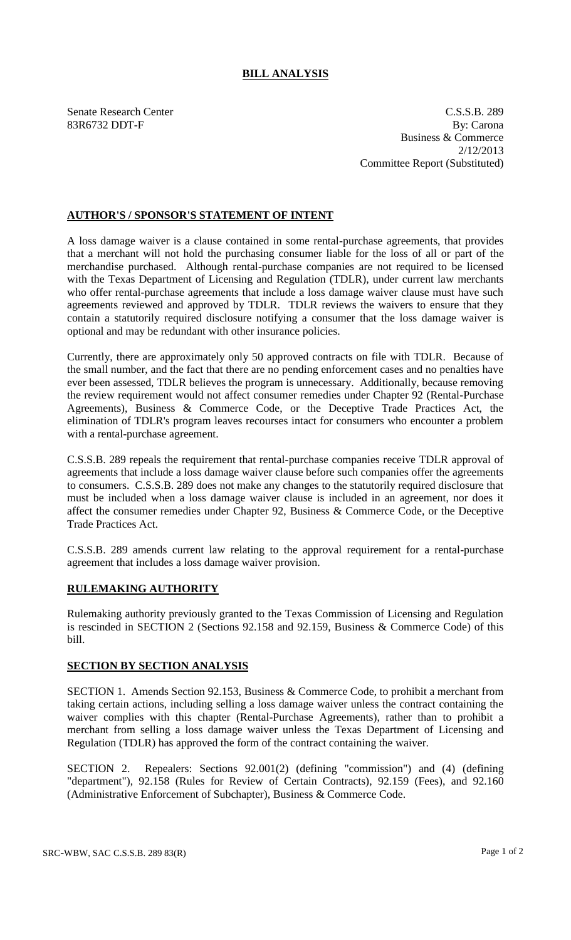## **BILL ANALYSIS**

Senate Research Center C.S.S.B. 289 83R6732 DDT-F By: Carona Business & Commerce 2/12/2013 Committee Report (Substituted)

## **AUTHOR'S / SPONSOR'S STATEMENT OF INTENT**

A loss damage waiver is a clause contained in some rental-purchase agreements, that provides that a merchant will not hold the purchasing consumer liable for the loss of all or part of the merchandise purchased. Although rental-purchase companies are not required to be licensed with the Texas Department of Licensing and Regulation (TDLR), under current law merchants who offer rental-purchase agreements that include a loss damage waiver clause must have such agreements reviewed and approved by TDLR. TDLR reviews the waivers to ensure that they contain a statutorily required disclosure notifying a consumer that the loss damage waiver is optional and may be redundant with other insurance policies.

Currently, there are approximately only 50 approved contracts on file with TDLR. Because of the small number, and the fact that there are no pending enforcement cases and no penalties have ever been assessed, TDLR believes the program is unnecessary. Additionally, because removing the review requirement would not affect consumer remedies under Chapter 92 (Rental-Purchase Agreements), Business & Commerce Code, or the Deceptive Trade Practices Act, the elimination of TDLR's program leaves recourses intact for consumers who encounter a problem with a rental-purchase agreement.

C.S.S.B. 289 repeals the requirement that rental-purchase companies receive TDLR approval of agreements that include a loss damage waiver clause before such companies offer the agreements to consumers. C.S.S.B. 289 does not make any changes to the statutorily required disclosure that must be included when a loss damage waiver clause is included in an agreement, nor does it affect the consumer remedies under Chapter 92, Business & Commerce Code, or the Deceptive Trade Practices Act.

C.S.S.B. 289 amends current law relating to the approval requirement for a rental-purchase agreement that includes a loss damage waiver provision.

## **RULEMAKING AUTHORITY**

Rulemaking authority previously granted to the Texas Commission of Licensing and Regulation is rescinded in SECTION 2 (Sections 92.158 and 92.159, Business & Commerce Code) of this bill.

## **SECTION BY SECTION ANALYSIS**

SECTION 1. Amends Section 92.153, Business & Commerce Code, to prohibit a merchant from taking certain actions, including selling a loss damage waiver unless the contract containing the waiver complies with this chapter (Rental-Purchase Agreements), rather than to prohibit a merchant from selling a loss damage waiver unless the Texas Department of Licensing and Regulation (TDLR) has approved the form of the contract containing the waiver.

SECTION 2. Repealers: Sections 92.001(2) (defining "commission") and (4) (defining "department"), 92.158 (Rules for Review of Certain Contracts), 92.159 (Fees), and 92.160 (Administrative Enforcement of Subchapter), Business & Commerce Code.